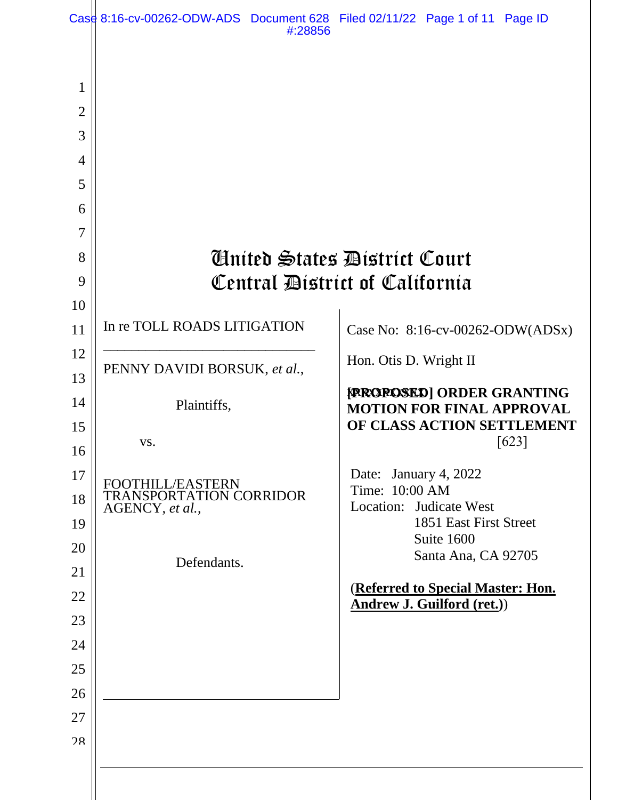|                                              | Case 8:16-cv-00262-ODW-ADS Document 628 Filed 02/11/22 Page 1 of 11 Page ID | #:28856 |                                         |                                                                     |       |  |  |  |
|----------------------------------------------|-----------------------------------------------------------------------------|---------|-----------------------------------------|---------------------------------------------------------------------|-------|--|--|--|
| 1<br>$\overline{2}$<br>3<br>4<br>5<br>6<br>7 |                                                                             |         |                                         |                                                                     |       |  |  |  |
| 8                                            |                                                                             |         |                                         |                                                                     |       |  |  |  |
| 9                                            | Anited States District Court                                                |         |                                         |                                                                     |       |  |  |  |
| 10                                           | Central District of California                                              |         |                                         |                                                                     |       |  |  |  |
| 11                                           | In re TOLL ROADS LITIGATION                                                 |         |                                         | Case No: 8:16-cv-00262-ODW(ADSx)                                    |       |  |  |  |
| 12                                           |                                                                             |         |                                         |                                                                     |       |  |  |  |
| 13                                           | PENNY DAVIDI BORSUK, et al.,                                                |         | Hon. Otis D. Wright II                  |                                                                     |       |  |  |  |
| 14                                           | Plaintiffs,                                                                 |         |                                         | <b>FROROSED] ORDER GRANTING</b><br><b>MOTION FOR FINAL APPROVAL</b> |       |  |  |  |
| 15                                           |                                                                             |         |                                         | OF CLASS ACTION SETTLEMENT                                          |       |  |  |  |
| 16                                           | VS.                                                                         |         |                                         |                                                                     | [623] |  |  |  |
| 17                                           | FOOTHILL/EASTERN                                                            |         | Date: January 4, 2022<br>Time: 10:00 AM |                                                                     |       |  |  |  |
| 18                                           | <b>TRANSPORTATION CORRIDOR</b><br>AGENCY, et al.,                           |         |                                         | Location: Judicate West                                             |       |  |  |  |
| 19                                           |                                                                             |         |                                         | 1851 East First Street<br>Suite 1600                                |       |  |  |  |
| 20<br>21                                     | Defendants.                                                                 |         |                                         | Santa Ana, CA 92705                                                 |       |  |  |  |
| 22                                           |                                                                             |         |                                         | (Referred to Special Master: Hon.                                   |       |  |  |  |
| 23                                           |                                                                             |         |                                         | <b>Andrew J. Guilford (ret.))</b>                                   |       |  |  |  |
| 24                                           |                                                                             |         |                                         |                                                                     |       |  |  |  |
| 25                                           |                                                                             |         |                                         |                                                                     |       |  |  |  |
| 26                                           |                                                                             |         |                                         |                                                                     |       |  |  |  |
| 27                                           |                                                                             |         |                                         |                                                                     |       |  |  |  |
| 28                                           |                                                                             |         |                                         |                                                                     |       |  |  |  |
|                                              |                                                                             |         |                                         |                                                                     |       |  |  |  |
|                                              |                                                                             |         |                                         |                                                                     |       |  |  |  |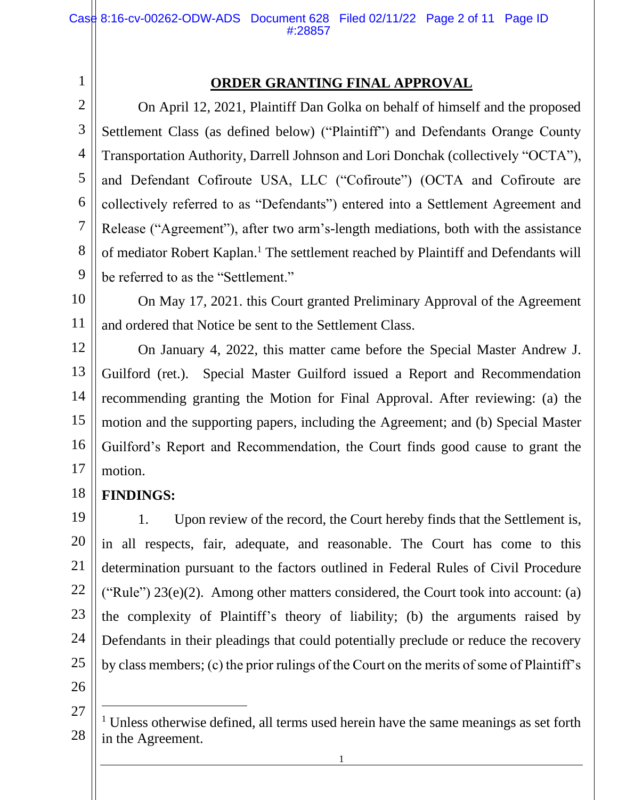# **ORDER GRANTING FINAL APPROVAL**

On April 12, 2021, Plaintiff Dan Golka on behalf of himself and the proposed Settlement Class (as defined below) ("Plaintiff") and Defendants Orange County Transportation Authority, Darrell Johnson and Lori Donchak (collectively "OCTA"), and Defendant Cofiroute USA, LLC ("Cofiroute") (OCTA and Cofiroute are collectively referred to as "Defendants") entered into a Settlement Agreement and Release ("Agreement"), after two arm's-length mediations, both with the assistance of mediator Robert Kaplan. <sup>1</sup> The settlement reached by Plaintiff and Defendants will be referred to as the "Settlement."

10 10 11 11 On May 17, 2021. this Court granted Preliminary Approval of the Agreement and ordered that Notice be sent to the Settlement Class.

12 12 13 13 14 14 15 15 16 16 17 17 On January 4, 2022, this matter came before the Special Master Andrew J. Guilford (ret.). Special Master Guilford issued a Report and Recommendation recommending granting the Motion for Final Approval. After reviewing: (a) the motion and the supporting papers, including the Agreement; and (b) Special Master Guilford's Report and Recommendation, the Court finds good cause to grant the motion.

#### 18 18 **FINDINGS:**

1 1

2 2

3 3

4 4

5 5

6 6

7 7

8 8

9 9

19 19 20 20 21 21 22 22 23 23 24 24 25 25 26 26 1. Upon review of the record, the Court hereby finds that the Settlement is, in all respects, fair, adequate, and reasonable. The Court has come to this determination pursuant to the factors outlined in Federal Rules of Civil Procedure ("Rule")  $23(e)(2)$ . Among other matters considered, the Court took into account: (a) the complexity of Plaintiff's theory of liability; (b) the arguments raised by Defendants in their pleadings that could potentially preclude or reduce the recovery by class members; (c) the prior rulings of the Court on the merits of some of Plaintiff's

27 27

<sup>28</sup> 28 <sup>1</sup> Unless otherwise defined, all terms used herein have the same meanings as set forth in the Agreement.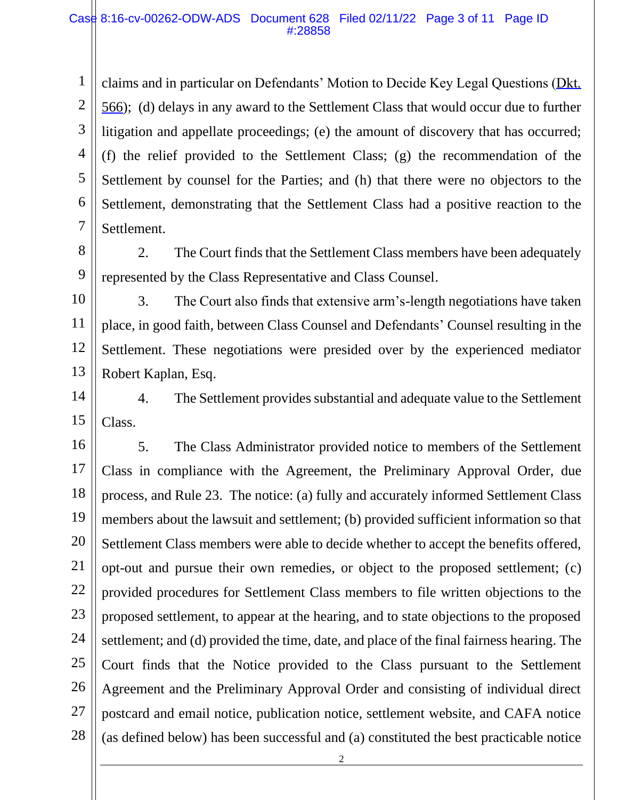1 1 2 2 3 3 4 4 5 5 6 6 7 7 claims and in particular on Defendants' Motion to Decide Key Legal Questions [\(Dkt.](https://cacd-ecf.sso.dcn/n/cmecfservices/rest/file/finddoc?caseYear=2016&caseNum=00262&caseType=cv&caseOffice=8&docNum=566)  [566\)](https://cacd-ecf.sso.dcn/n/cmecfservices/rest/file/finddoc?caseYear=2016&caseNum=00262&caseType=cv&caseOffice=8&docNum=566); (d) delays in any award to the Settlement Class that would occur due to further litigation and appellate proceedings; (e) the amount of discovery that has occurred; (f) the relief provided to the Settlement Class; (g) the recommendation of the Settlement by counsel for the Parties; and (h) that there were no objectors to the Settlement, demonstrating that the Settlement Class had a positive reaction to the Settlement.

8 8 9 9 2. The Court finds that the Settlement Class members have been adequately represented by the Class Representative and Class Counsel.

10 10 11 11 12 12 13 13 3. The Court also finds that extensive arm's-length negotiations have taken place, in good faith, between Class Counsel and Defendants' Counsel resulting in the Settlement. These negotiations were presided over by the experienced mediator Robert Kaplan, Esq.

14 14 15 15 4. The Settlement provides substantial and adequate value to the Settlement Class.

16 16 17 17 18 18 19 19 20 20 21 21 22 22 23 23 24 24 25 25 26 26 27 27 28 28 5. The Class Administrator provided notice to members of the Settlement Class in compliance with the Agreement, the Preliminary Approval Order, due process, and Rule 23. The notice: (a) fully and accurately informed Settlement Class members about the lawsuit and settlement; (b) provided sufficient information so that Settlement Class members were able to decide whether to accept the benefits offered, opt-out and pursue their own remedies, or object to the proposed settlement; (c) provided procedures for Settlement Class members to file written objections to the proposed settlement, to appear at the hearing, and to state objections to the proposed settlement; and (d) provided the time, date, and place of the final fairness hearing. The Court finds that the Notice provided to the Class pursuant to the Settlement Agreement and the Preliminary Approval Order and consisting of individual direct postcard and email notice, publication notice, settlement website, and CAFA notice (as defined below) has been successful and (a) constituted the best practicable notice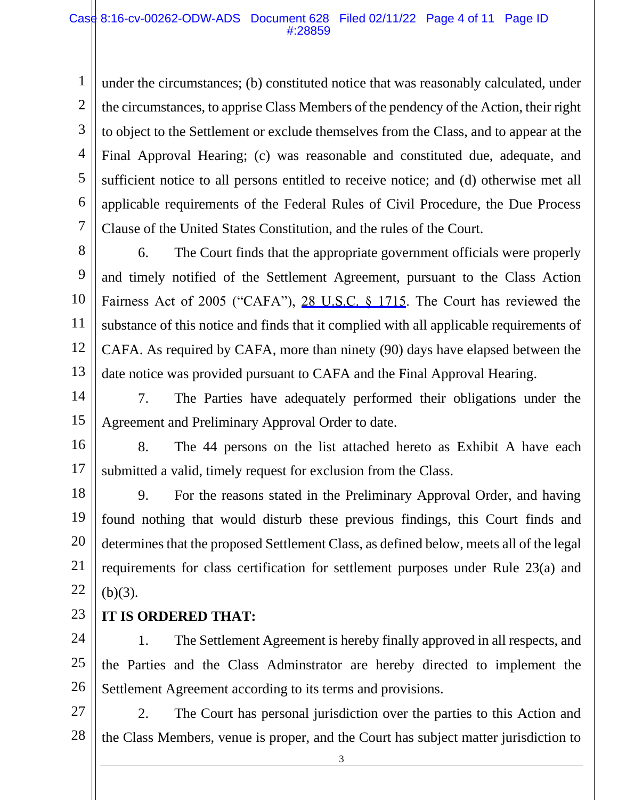1 1 2 2 3 3 4 4 5 5 6 6 7 7 under the circumstances; (b) constituted notice that was reasonably calculated, under the circumstances, to apprise Class Members of the pendency of the Action, their right to object to the Settlement or exclude themselves from the Class, and to appear at the Final Approval Hearing; (c) was reasonable and constituted due, adequate, and sufficient notice to all persons entitled to receive notice; and (d) otherwise met all applicable requirements of the Federal Rules of Civil Procedure, the Due Process Clause of the United States Constitution, and the rules of the Court.

8 8 9 9 10 10 11 11 12 12 13 13 6. The Court finds that the appropriate government officials were properly and timely notified of the Settlement Agreement, pursuant to the Class Action Fairness Act of 2005 ("CAFA"), [28 U.S.C. § 1715.](https://www.westlaw.com/Link/Document/FullText?rs=USCLink&vr=3.0&findType=Y&cite=28%2B%2Bu%2Es%2Ec%2E%2B%2B%2B%2B1715&clientid=USCourts) The Court has reviewed the substance of this notice and finds that it complied with all applicable requirements of CAFA. As required by CAFA, more than ninety (90) days have elapsed between the date notice was provided pursuant to CAFA and the Final Approval Hearing.

14 14 15 15 7. The Parties have adequately performed their obligations under the Agreement and Preliminary Approval Order to date.

16 16 17 17 8. The 44 persons on the list attached hereto as Exhibit A have each submitted a valid, timely request for exclusion from the Class.

18 18 19 19 20 20 21 21 22 22 9. For the reasons stated in the Preliminary Approval Order, and having found nothing that would disturb these previous findings, this Court finds and determines that the proposed Settlement Class, as defined below, meets all of the legal requirements for class certification for settlement purposes under Rule 23(a) and  $(b)(3)$ .

23 23 **IT IS ORDERED THAT:**

24 24 25 25 26 26 1. The Settlement Agreement is hereby finally approved in all respects, and the Parties and the Class Adminstrator are hereby directed to implement the Settlement Agreement according to its terms and provisions.

27 27 28 28 2. The Court has personal jurisdiction over the parties to this Action and the Class Members, venue is proper, and the Court has subject matter jurisdiction to

3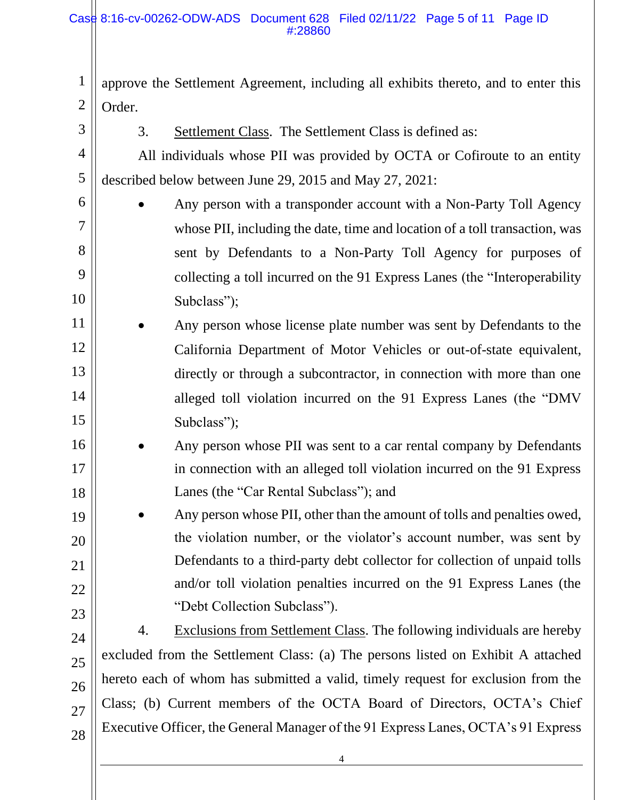#### Case 8:16-cv-00262-ODW-ADS Document 628 Filed 02/11/22 Page 5 of 11 Page ID #:28860

1 1 2 2 approve the Settlement Agreement, including all exhibits thereto, and to enter this Order.

3 3

6 6

7 7

8 8

9 9

10 10

19 19

20 20

21 21

22 22

3. Settlement Class. The Settlement Class is defined as:

4 4 5 5 All individuals whose PII was provided by OCTA or Cofiroute to an entity described below between June 29, 2015 and May 27, 2021:

- Any person with a transponder account with a Non-Party Toll Agency whose PII, including the date, time and location of a toll transaction, was sent by Defendants to a Non-Party Toll Agency for purposes of collecting a toll incurred on the 91 Express Lanes (the "Interoperability Subclass");
- 11 11 12 12 13 13 14 14 15 15 Any person whose license plate number was sent by Defendants to the California Department of Motor Vehicles or out-of-state equivalent, directly or through a subcontractor, in connection with more than one alleged toll violation incurred on the 91 Express Lanes (the "DMV Subclass":
- 16 16 17 17 18 18 • Any person whose PII was sent to a car rental company by Defendants in connection with an alleged toll violation incurred on the 91 Express Lanes (the "Car Rental Subclass"); and
	- Any person whose PII, other than the amount of tolls and penalties owed, the violation number, or the violator's account number, was sent by Defendants to a third-party debt collector for collection of unpaid tolls and/or toll violation penalties incurred on the 91 Express Lanes (the "Debt Collection Subclass").
- 23 23 24 24 25 25 26 26 27 27 28 28 4. Exclusions from Settlement Class. The following individuals are hereby excluded from the Settlement Class: (a) The persons listed on Exhibit A attached hereto each of whom has submitted a valid, timely request for exclusion from the Class; (b) Current members of the OCTA Board of Directors, OCTA's Chief Executive Officer, the General Manager of the 91 Express Lanes, OCTA's 91 Express
	- 4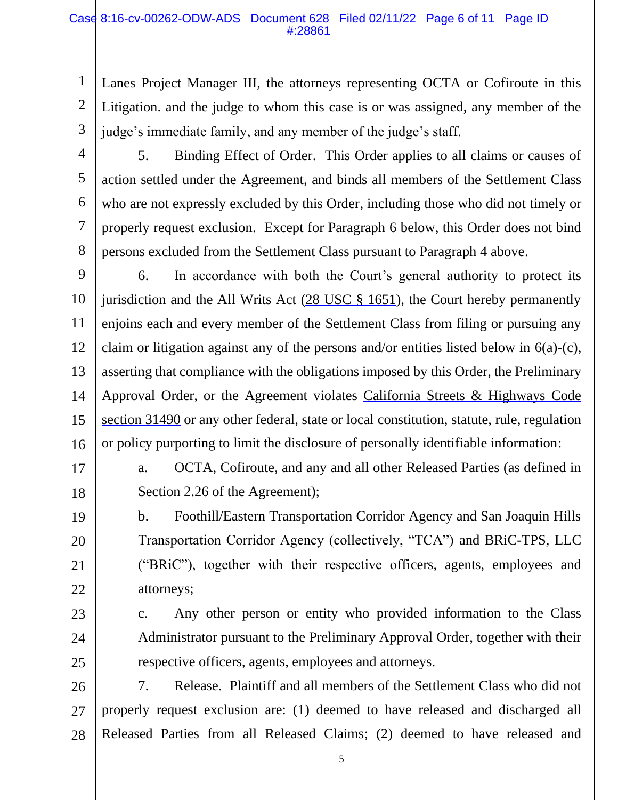### Case 8:16-cv-00262-ODW-ADS Document 628 Filed 02/11/22 Page 6 of 11 Page ID #:28861

Lanes Project Manager III, the attorneys representing OCTA or Cofiroute in this Litigation. and the judge to whom this case is or was assigned, any member of the judge's immediate family, and any member of the judge's staff.

5 5

6 6

7 7

8 8

1 1

2 2

5. Binding Effect of Order. This Order applies to all claims or causes of action settled under the Agreement, and binds all members of the Settlement Class who are not expressly excluded by this Order, including those who did not timely or properly request exclusion. Except for Paragraph 6 below, this Order does not bind persons excluded from the Settlement Class pursuant to Paragraph 4 above.

9 9 10 10 11 11 12 12 13 13 14 14 15 15 16 16 6. In accordance with both the Court's general authority to protect its jurisdiction and the All Writs Act  $(28 \text{ USC} \& 1651)$ , the Court hereby permanently enjoins each and every member of the Settlement Class from filing or pursuing any claim or litigation against any of the persons and/or entities listed below in 6(a)-(c), asserting that compliance with the obligations imposed by this Order, the Preliminary Approval Order, or the Agreement violates [California Streets & Highways Code](https://www.westlaw.com/Link/Document/FullText?rs=USCLink&vr=3.0&findType=Y&cite=ca%2Bstr%2B%2Bhwy%2Bs%2B31490&clientid=USCourts)  [section 31490](https://www.westlaw.com/Link/Document/FullText?rs=USCLink&vr=3.0&findType=Y&cite=ca%2Bstr%2B%2Bhwy%2Bs%2B31490&clientid=USCourts) or any other federal, state or local constitution, statute, rule, regulation or policy purporting to limit the disclosure of personally identifiable information:

17 17

18 18

19 19

20 20

21 21

22 22

a. OCTA, Cofiroute, and any and all other Released Parties (as defined in Section 2.26 of the Agreement);

b. Foothill/Eastern Transportation Corridor Agency and San Joaquin Hills Transportation Corridor Agency (collectively, "TCA") and BRiC-TPS, LLC ("BRiC"), together with their respective officers, agents, employees and attorneys;

23 23

25 25

24 24

c. Any other person or entity who provided information to the Class Administrator pursuant to the Preliminary Approval Order, together with their respective officers, agents, employees and attorneys.

26 26 27 27 28 28 7. Release. Plaintiff and all members of the Settlement Class who did not properly request exclusion are: (1) deemed to have released and discharged all Released Parties from all Released Claims; (2) deemed to have released and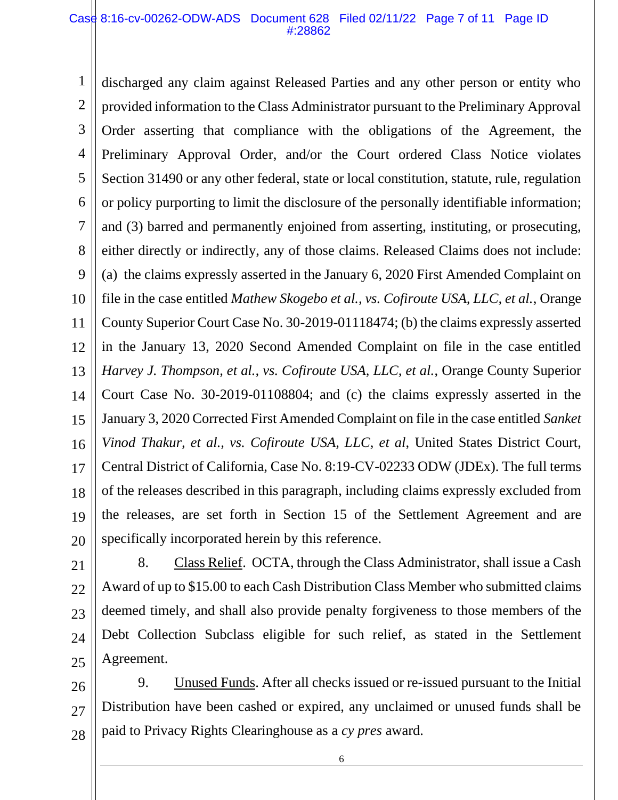#### Case 8:16-cv-00262-ODW-ADS Document 628 Filed 02/11/22 Page 7 of 11 Page ID #:28862

1 1 2 2 3 3 4 4 5 5 6 6 7 7 8 8 9 9 10 10 11 11 12 12 13 13 14 14 15 15 16 16 17 17 18 18 19 19 20 20 discharged any claim against Released Parties and any other person or entity who provided information to the Class Administrator pursuant to the Preliminary Approval Order asserting that compliance with the obligations of the Agreement, the Preliminary Approval Order, and/or the Court ordered Class Notice violates Section 31490 or any other federal, state or local constitution, statute, rule, regulation or policy purporting to limit the disclosure of the personally identifiable information; and (3) barred and permanently enjoined from asserting, instituting, or prosecuting, either directly or indirectly, any of those claims. Released Claims does not include: (a) the claims expressly asserted in the January 6, 2020 First Amended Complaint on file in the case entitled *Mathew Skogebo et al., vs. Cofiroute USA, LLC, et al.*, Orange County Superior Court Case No. 30-2019-01118474; (b) the claims expressly asserted in the January 13, 2020 Second Amended Complaint on file in the case entitled *Harvey J. Thompson, et al., vs. Cofiroute USA, LLC, et al.*, Orange County Superior Court Case No. 30-2019-01108804; and (c) the claims expressly asserted in the January 3, 2020 Corrected First Amended Complaint on file in the case entitled *Sanket Vinod Thakur, et al., vs. Cofiroute USA, LLC, et al*, United States District Court, Central District of California, Case No. 8:19-CV-02233 ODW (JDEx). The full terms of the releases described in this paragraph, including claims expressly excluded from the releases, are set forth in Section 15 of the Settlement Agreement and are specifically incorporated herein by this reference.

21 21 22 22 23 23 24 24 25 25 8. Class Relief. OCTA, through the Class Administrator, shall issue a Cash Award of up to \$15.00 to each Cash Distribution Class Member who submitted claims deemed timely, and shall also provide penalty forgiveness to those members of the Debt Collection Subclass eligible for such relief, as stated in the Settlement Agreement.

26 26 27 27 28 28 9. Unused Funds. After all checks issued or re-issued pursuant to the Initial Distribution have been cashed or expired, any unclaimed or unused funds shall be paid to Privacy Rights Clearinghouse as a *cy pres* award.

6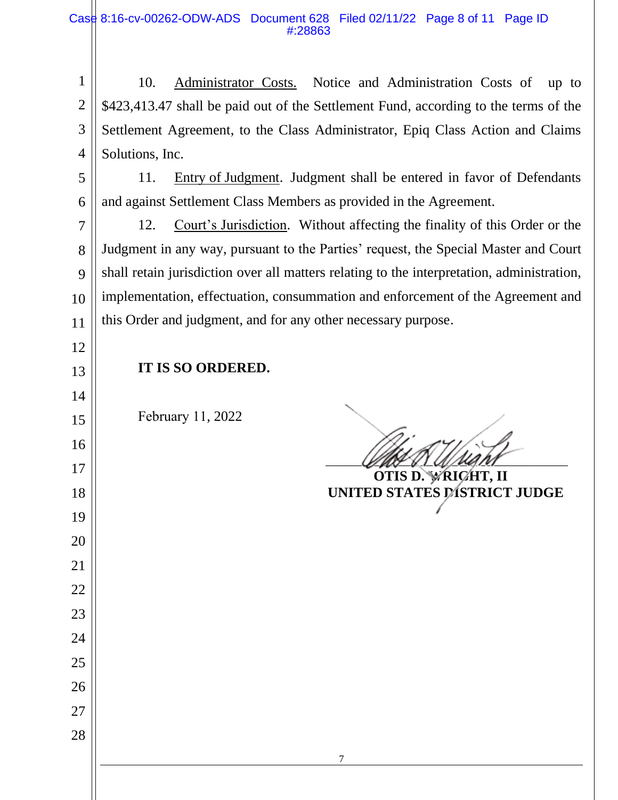1 2 3 4 10. Administrator Costs. Notice and Administration Costs of up to \$423,413.47 shall be paid out of the Settlement Fund, according to the terms of the Settlement Agreement, to the Class Administrator, Epiq Class Action and Claims Solutions, Inc.

 5 6 11. Entry of Judgment. Judgment shall be entered in favor of Defendants and against Settlement Class Members as provided in the Agreement.

 7 8 9 10 12. Court's Jurisdiction. Without affecting the finality of this Order or the Judgment in any way, pursuant to the Parties' request, the Special Master and Court shall retain jurisdiction over all matters relating to the interpretation, administration, implementation, effectuation, consummation and enforcement of the Agreement and this Order and judgment, and for any other necessary purpose.

13

14

15

16

17

18

19

20

21

22

23

24

25

26

27

28

## **IT IS SO ORDERED.**

February 11, 2022

 $\Box$ 

 **OTIS D. WRIGHT, II UNITED STATES DISTRICT JUDGE**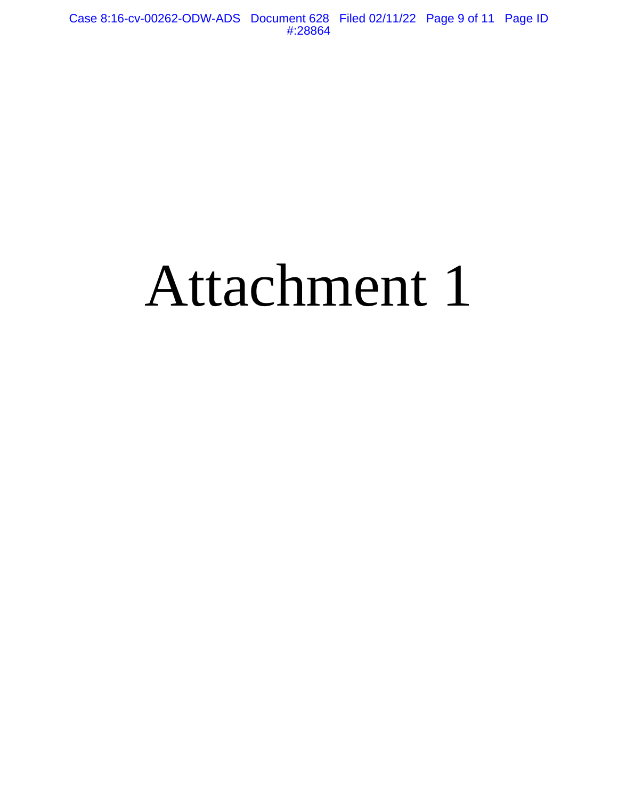# Attachment 1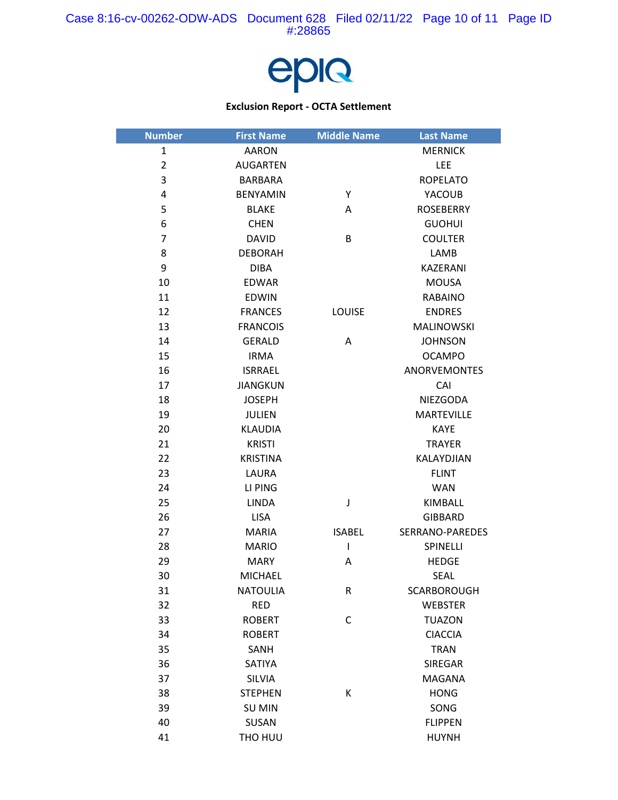

#### **Exclusion Report - OCTA Settlement**

| <b>Number</b>  | <b>First Name</b> | <b>Middle Name</b> | <b>Last Name</b>    |
|----------------|-------------------|--------------------|---------------------|
| $\mathbf{1}$   | <b>AARON</b>      |                    | <b>MERNICK</b>      |
| $\overline{2}$ | <b>AUGARTEN</b>   |                    | <b>LEE</b>          |
| 3              | <b>BARBARA</b>    |                    | <b>ROPELATO</b>     |
| 4              | <b>BENYAMIN</b>   | Y                  | YACOUB              |
| 5              | <b>BLAKE</b>      | A                  | <b>ROSEBERRY</b>    |
| 6              | <b>CHEN</b>       |                    | <b>GUOHUI</b>       |
| 7              | <b>DAVID</b>      | B                  | <b>COULTER</b>      |
| 8              | <b>DEBORAH</b>    |                    | LAMB                |
| 9              | <b>DIBA</b>       |                    | <b>KAZERANI</b>     |
| 10             | <b>EDWAR</b>      |                    | <b>MOUSA</b>        |
| 11             | <b>EDWIN</b>      |                    | <b>RABAINO</b>      |
| 12             | <b>FRANCES</b>    | LOUISE             | <b>ENDRES</b>       |
| 13             | <b>FRANCOIS</b>   |                    | <b>MALINOWSKI</b>   |
| 14             | <b>GERALD</b>     | Α                  | <b>JOHNSON</b>      |
| 15             | <b>IRMA</b>       |                    | <b>OCAMPO</b>       |
| 16             | <b>ISRRAEL</b>    |                    | <b>ANORVEMONTES</b> |
| 17             | <b>JIANGKUN</b>   |                    | CAI                 |
| 18             | <b>JOSEPH</b>     |                    | NIEZGODA            |
| 19             | <b>JULIEN</b>     |                    | <b>MARTEVILLE</b>   |
| 20             | <b>KLAUDIA</b>    |                    | <b>KAYE</b>         |
| 21             | <b>KRISTI</b>     |                    | <b>TRAYER</b>       |
| 22             | <b>KRISTINA</b>   |                    | KALAYDJIAN          |
| 23             | LAURA             |                    | <b>FLINT</b>        |
| 24             | LI PING           |                    | <b>WAN</b>          |
| 25             | <b>LINDA</b>      | J                  | KIMBALL             |
| 26             | <b>LISA</b>       |                    | <b>GIBBARD</b>      |
| 27             | <b>MARIA</b>      | <b>ISABEL</b>      | SERRANO-PAREDES     |
| 28             | <b>MARIO</b>      | T                  | SPINELLI            |
| 29             | <b>MARY</b>       | Α                  | <b>HEDGE</b>        |
| 30             | <b>MICHAEL</b>    |                    | <b>SEAL</b>         |
| 31             | <b>NATOULIA</b>   | R                  | <b>SCARBOROUGH</b>  |
| 32             | <b>RED</b>        |                    | <b>WEBSTER</b>      |
| 33             | <b>ROBERT</b>     | $\mathsf{C}$       | <b>TUAZON</b>       |
| 34             | <b>ROBERT</b>     |                    | <b>CIACCIA</b>      |
| 35             | <b>SANH</b>       |                    | <b>TRAN</b>         |
| 36             | SATIYA            |                    | SIREGAR             |
| 37             | SILVIA            |                    | <b>MAGANA</b>       |
| 38             | <b>STEPHEN</b>    | К                  | <b>HONG</b>         |
| 39             | <b>SU MIN</b>     |                    | SONG                |
| 40             | SUSAN             |                    | <b>FLIPPEN</b>      |
| 41             | THO HUU           |                    | <b>HUYNH</b>        |